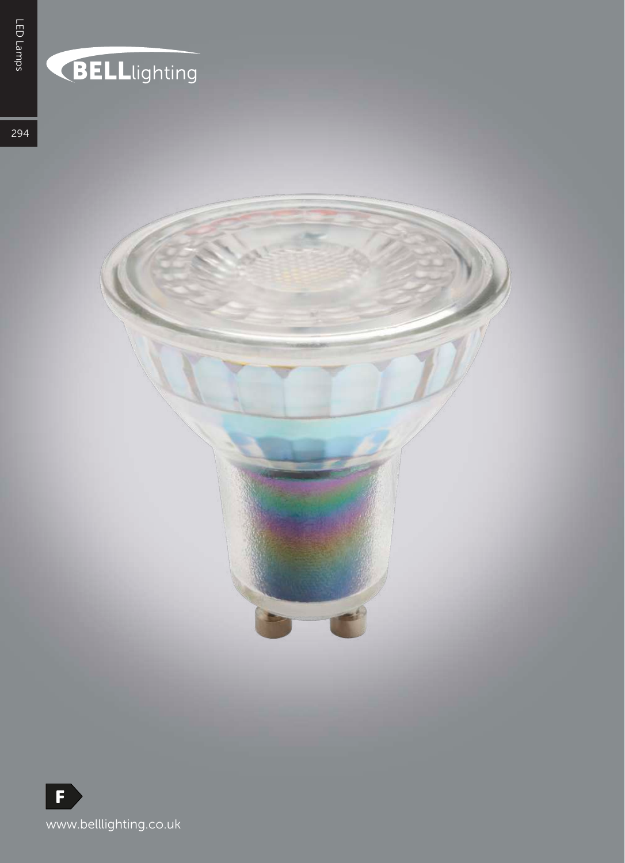## BELLlighting

294